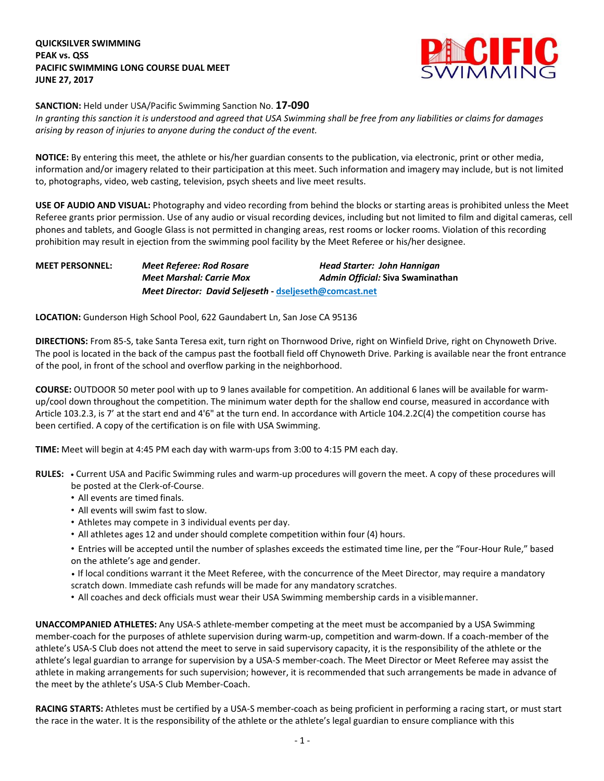

**SANCTION:** Held under USA/Pacific Swimming Sanction No. **17-090**

In granting this sanction it is understood and agreed that USA Swimming shall be free from any liabilities or claims for damages *arising by reason of injuries to anyone during the conduct of the event.*

**NOTICE:** By entering this meet, the athlete or his/her guardian consents to the publication, via electronic, print or other media, information and/or imagery related to their participation at this meet. Such information and imagery may include, but is not limited to, photographs, video, web casting, television, psych sheets and live meet results.

**USE OF AUDIO AND VISUAL:** Photography and video recording from behind the blocks or starting areas is prohibited unless the Meet Referee grants prior permission. Use of any audio or visual recording devices, including but not limited to film and digital cameras, cell phones and tablets, and Google Glass is not permitted in changing areas, rest rooms or locker rooms. Violation of this recording prohibition may result in ejection from the swimming pool facility by the Meet Referee or his/her designee.

**MEET PERSONNEL:** *Meet Referee: Rod Rosare Head Starter: John Hannigan Meet Marshal: Carrie Mox Admin Official:* **Siva Swaminathan** *Meet Director: David Seljeseth* **- [dseljeseth@comcast.net](mailto:dseljeseth@comcast.net)**

**LOCATION:** Gunderson High School Pool, 622 Gaundabert Ln, San Jose CA 95136

**DIRECTIONS:** From 85-S, take Santa Teresa exit, turn right on Thornwood Drive, right on Winfield Drive, right on Chynoweth Drive. The pool is located in the back of the campus past the football field off Chynoweth Drive. Parking is available near the front entrance of the pool, in front of the school and overflow parking in the neighborhood.

**COURSE:** OUTDOOR 50 meter pool with up to 9 lanes available for competition. An additional 6 lanes will be available for warmup/cool down throughout the competition. The minimum water depth for the shallow end course, measured in accordance with Article 103.2.3, is 7' at the start end and 4'6" at the turn end. In accordance with Article 104.2.2C(4) the competition course has been certified. A copy of the certification is on file with USA Swimming.

**TIME:** Meet will begin at 4:45 PM each day with warm-ups from 3:00 to 4:15 PM each day.

- **RULES: •** Current USA and Pacific Swimming rules and warm-up procedures will govern the meet. A copy of these procedures will be posted at the Clerk-of-Course.
	- All events are timed finals.
	- All events will swim fast to slow.
	- Athletes may compete in 3 individual events per day.
	- All athletes ages 12 and under should complete competition within four (4) hours.
	- Entries will be accepted until the number of splashes exceeds the estimated time line, per the "Four-Hour Rule," based on the athlete's age and gender.
	- **•** If local conditions warrant it the Meet Referee, with the concurrence of the Meet Director, may require a mandatory
	- scratch down. Immediate cash refunds will be made for any mandatory scratches.
	- All coaches and deck officials must wear their USA Swimming membership cards in a visiblemanner.

**UNACCOMPANIED ATHLETES:** Any USA-S athlete-member competing at the meet must be accompanied by a USA Swimming member-coach for the purposes of athlete supervision during warm-up, competition and warm-down. If a coach-member of the athlete's USA-S Club does not attend the meet to serve in said supervisory capacity, it is the responsibility of the athlete or the athlete's legal guardian to arrange for supervision by a USA-S member-coach. The Meet Director or Meet Referee may assist the athlete in making arrangements for such supervision; however, it is recommended that such arrangements be made in advance of the meet by the athlete's USA-S Club Member-Coach.

**RACING STARTS:** Athletes must be certified by a USA-S member-coach as being proficient in performing a racing start, or must start the race in the water. It is the responsibility of the athlete or the athlete's legal guardian to ensure compliance with this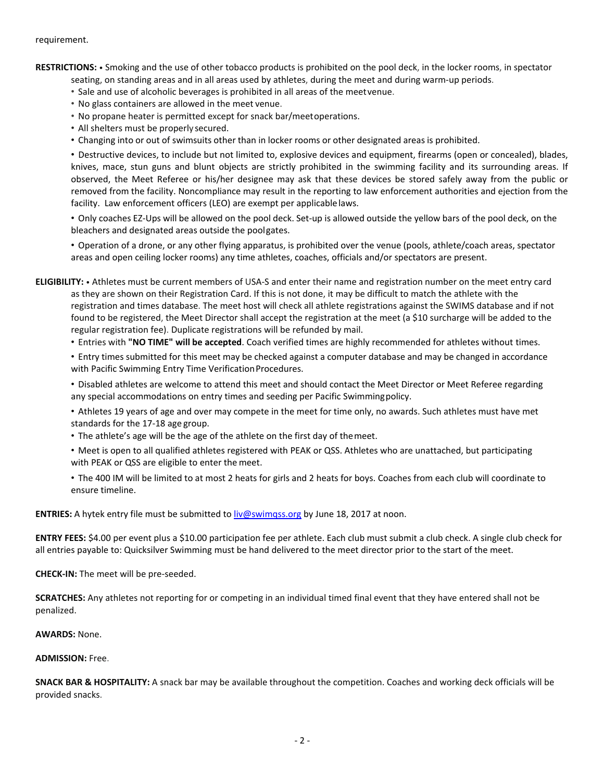## requirement.

**RESTRICTIONS:** • Smoking and the use of other tobacco products is prohibited on the pool deck, in the locker rooms, in spectator

- seating, on standing areas and in all areas used by athletes, during the meet and during warm-up periods.
- Sale and use of alcoholic beverages is prohibited in all areas of the meetvenue.
- No glass containers are allowed in the meet venue.
- No propane heater is permitted except for snack bar/meetoperations.
- All shelters must be properly secured.
- Changing into or out of swimsuits other than in locker rooms or other designated areas is prohibited.

• Destructive devices, to include but not limited to, explosive devices and equipment, firearms (open or concealed), blades, knives, mace, stun guns and blunt objects are strictly prohibited in the swimming facility and its surrounding areas. If observed, the Meet Referee or his/her designee may ask that these devices be stored safely away from the public or removed from the facility. Noncompliance may result in the reporting to law enforcement authorities and ejection from the facility. Law enforcement officers (LEO) are exempt per applicablelaws.

• Only coaches EZ-Ups will be allowed on the pool deck. Set-up is allowed outside the yellow bars of the pool deck, on the bleachers and designated areas outside the poolgates.

• Operation of a drone, or any other flying apparatus, is prohibited over the venue (pools, athlete/coach areas, spectator areas and open ceiling locker rooms) any time athletes, coaches, officials and/or spectators are present.

**ELIGIBILITY:** • Athletes must be current members of USA-S and enter their name and registration number on the meet entry card as they are shown on their Registration Card. If this is not done, it may be difficult to match the athlete with the registration and times database. The meet host will check all athlete registrations against the SWIMS database and if not found to be registered, the Meet Director shall accept the registration at the meet (a \$10 surcharge will be added to the regular registration fee). Duplicate registrations will be refunded by mail.

• Entries with **"NO TIME" will be accepted**. Coach verified times are highly recommended for athletes without times.

• Entry times submitted for this meet may be checked against a computer database and may be changed in accordance with Pacific Swimming Entry Time Verification Procedures.

• Disabled athletes are welcome to attend this meet and should contact the Meet Director or Meet Referee regarding any special accommodations on entry times and seeding per Pacific Swimmingpolicy.

• Athletes 19 years of age and over may compete in the meet for time only, no awards. Such athletes must have met standards for the 17-18 age group.

- The athlete's age will be the age of the athlete on the first day of themeet.
- Meet is open to all qualified athletes registered with PEAK or QSS. Athletes who are unattached, but participating with PEAK or QSS are eligible to enter the meet.
- The 400 IM will be limited to at most 2 heats for girls and 2 heats for boys. Coaches from each club will coordinate to ensure timeline.

**ENTRIES:** A hytek entry file must be submitted to liv@swimgss.org by June 18, 2017 at noon.

**ENTRY FEES:** \$4.00 per event plus a \$10.00 participation fee per athlete. Each club must submit a club check. A single club check for all entries payable to: Quicksilver Swimming must be hand delivered to the meet director prior to the start of the meet.

**CHECK-IN:** The meet will be pre-seeded.

**SCRATCHES:** Any athletes not reporting for or competing in an individual timed final event that they have entered shall not be penalized.

## **AWARDS:** None.

## **ADMISSION:** Free.

**SNACK BAR & HOSPITALITY:** A snack bar may be available throughout the competition. Coaches and working deck officials will be provided snacks.